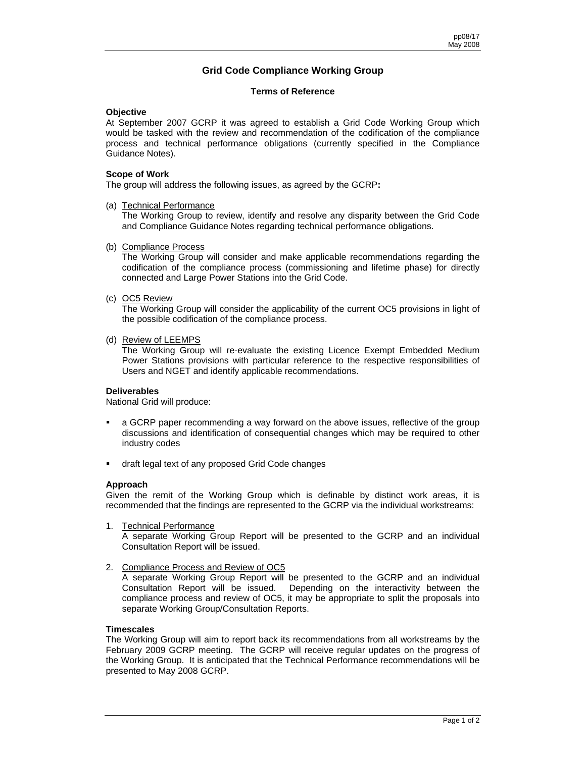# **Grid Code Compliance Working Group**

### **Terms of Reference**

## **Objective**

At September 2007 GCRP it was agreed to establish a Grid Code Working Group which would be tasked with the review and recommendation of the codification of the compliance process and technical performance obligations (currently specified in the Compliance Guidance Notes).

#### **Scope of Work**

The group will address the following issues, as agreed by the GCRP**:** 

#### (a) Technical Performance

The Working Group to review, identify and resolve any disparity between the Grid Code and Compliance Guidance Notes regarding technical performance obligations.

## (b) Compliance Process

The Working Group will consider and make applicable recommendations regarding the codification of the compliance process (commissioning and lifetime phase) for directly connected and Large Power Stations into the Grid Code.

## (c) OC5 Review

The Working Group will consider the applicability of the current OC5 provisions in light of the possible codification of the compliance process.

#### (d) Review of LEEMPS

 The Working Group will re-evaluate the existing Licence Exempt Embedded Medium Power Stations provisions with particular reference to the respective responsibilities of Users and NGET and identify applicable recommendations.

#### **Deliverables**

National Grid will produce:

- a GCRP paper recommending a way forward on the above issues, reflective of the group discussions and identification of consequential changes which may be required to other industry codes
- draft legal text of any proposed Grid Code changes

#### **Approach**

Given the remit of the Working Group which is definable by distinct work areas, it is recommended that the findings are represented to the GCRP via the individual workstreams:

1. Technical Performance

A separate Working Group Report will be presented to the GCRP and an individual Consultation Report will be issued.

2. Compliance Process and Review of OC5

A separate Working Group Report will be presented to the GCRP and an individual Consultation Report will be issued. Depending on the interactivity between the compliance process and review of OC5, it may be appropriate to split the proposals into separate Working Group/Consultation Reports.

#### **Timescales**

The Working Group will aim to report back its recommendations from all workstreams by the February 2009 GCRP meeting. The GCRP will receive regular updates on the progress of the Working Group. It is anticipated that the Technical Performance recommendations will be presented to May 2008 GCRP.